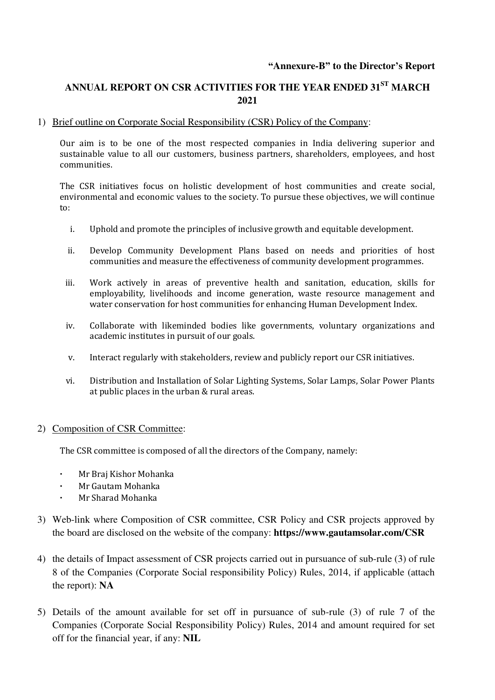### **"Annexure-B" to the Director's Report**

# **ANNUAL REPORT ON CSR ACTIVITIES FOR THE YEAR ENDED 31ST MARCH 2021**

#### 1) Brief outline on Corporate Social Responsibility (CSR) Policy of the Company:

Our aim is to be one of the most respected companies in India delivering superior and sustainable value to all our customers, business partners, shareholders, employees, and host communities.

The CSR initiatives focus on holistic development of host communities and create social, environmental and economic values to the society. To pursue these objectives, we will continue to:

- i. Uphold and promote the principles of inclusive growth and equitable development.
- ii. Develop Community Development Plans based on needs and priorities of host communities and measure the effectiveness of community development programmes.
- iii. Work actively in areas of preventive health and sanitation, education, skills for employability, livelihoods and income generation, waste resource management and water conservation for host communities for enhancing Human Development Index.
- iv. Collaborate with likeminded bodies like governments, voluntary organizations and academic institutes in pursuit of our goals.
- v. Interact regularly with stakeholders, review and publicly report our CSR initiatives.
- vi. Distribution and Installation of Solar Lighting Systems, Solar Lamps, Solar Power Plants at public places in the urban & rural areas.

#### 2) Composition of CSR Committee:

The CSR committee is composed of all the directors of the Company, namely:

- **·** Mr Braj Kishor Mohanka
- **·** Mr Gautam Mohanka
- **·** Mr Sharad Mohanka
- 3) Web-link where Composition of CSR committee, CSR Policy and CSR projects approved by the board are disclosed on the website of the company: **https://www.gautamsolar.com/CSR**
- 4) the details of Impact assessment of CSR projects carried out in pursuance of sub-rule (3) of rule 8 of the Companies (Corporate Social responsibility Policy) Rules, 2014, if applicable (attach the report): **NA**
- 5) Details of the amount available for set off in pursuance of sub-rule (3) of rule 7 of the Companies (Corporate Social Responsibility Policy) Rules, 2014 and amount required for set off for the financial year, if any: **NIL**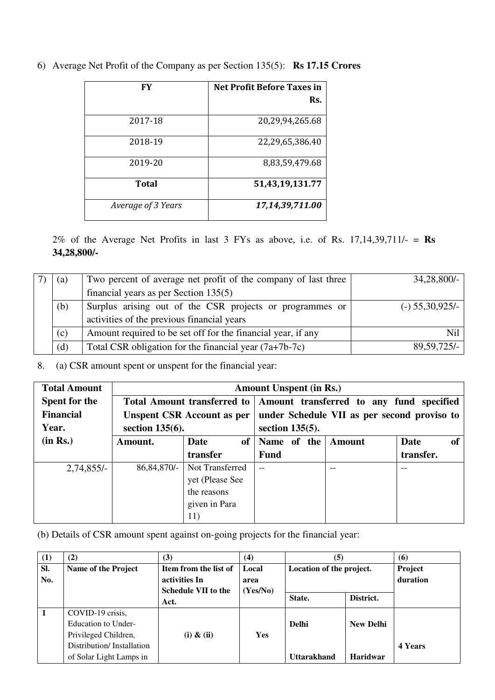| FY                 | <b>Net Profit Before Taxes in</b> |
|--------------------|-----------------------------------|
|                    | Rs.                               |
| 2017-18            | 20,29,94,265.68                   |
| 2018-19            | 22,29,65,386.40                   |
| 2019-20            | 8,83,59,479.68                    |
| Total              | 51,43,19,131.77                   |
| Average of 3 Years | 17,14,39,711.00                   |

6) Average Net Profit of the Company as per Section 135(5): **Rs 17.15 Crores**

2% of the Average Net Profits in last 3 FYs as above, i.e. of Rs. 17,14,39,711/- = **Rs 34,28,800/-**

| (a) | Two percent of average net profit of the company of last three | $34,28,800/-$     |
|-----|----------------------------------------------------------------|-------------------|
|     | financial years as per Section $135(5)$                        |                   |
| (b) | Surplus arising out of the CSR projects or programmes or       | $(-)$ 55,30,925/- |
|     | activities of the previous financial years                     |                   |
| (c) | Amount required to be set off for the financial year, if any   | Nil               |
| (d) | Total CSR obligation for the financial year $(7a+7b-7c)$       | $89,59,725/-$     |

8. (a) CSR amount spent or unspent for the financial year:

| <b>Total Amount</b>  |                    | <b>Amount Unspent (in Rs.)</b>     |                    |                                             |                       |  |  |  |
|----------------------|--------------------|------------------------------------|--------------------|---------------------------------------------|-----------------------|--|--|--|
| <b>Spent for the</b> |                    | <b>Total Amount transferred to</b> |                    | Amount transferred to any fund specified    |                       |  |  |  |
| <b>Financial</b>     |                    | <b>Unspent CSR Account as per</b>  |                    | under Schedule VII as per second proviso to |                       |  |  |  |
| Year.                | section $135(6)$ . |                                    | section $135(5)$ . |                                             |                       |  |  |  |
| (in Rs.)             | Amount.            | Date<br><sub>of</sub>              | Name of the        | Amount                                      | Date<br><sub>of</sub> |  |  |  |
|                      |                    | transfer                           | <b>Fund</b>        |                                             | transfer.             |  |  |  |
| $2,74,855/-$         | 86, 84, 870/-      | Not Transferred                    | $-$                | $- -$                                       | $- -$                 |  |  |  |
|                      |                    | yet (Please See                    |                    |                                             |                       |  |  |  |
|                      |                    | the reasons                        |                    |                                             |                       |  |  |  |
|                      |                    | given in Para                      |                    |                                             |                       |  |  |  |
|                      |                    | 11)                                |                    |                                             |                       |  |  |  |

(b) Details of CSR amount spent against on-going projects for the financial year:

| (1)          | (2)                       | (3)                                    | (4)           | $\left( 5\right)$        |                  | (6)                 |
|--------------|---------------------------|----------------------------------------|---------------|--------------------------|------------------|---------------------|
| Sl.<br>No.   | Name of the Project       | Item from the list of<br>activities In | Local<br>area | Location of the project. |                  | Project<br>duration |
|              |                           | <b>Schedule VII to the</b><br>Act.     | (Yes/No)      | State.                   | District.        |                     |
| $\mathbf{1}$ | COVID-19 crisis,          |                                        |               |                          |                  |                     |
|              | Education to Under-       |                                        |               | <b>Delhi</b>             | <b>New Delhi</b> |                     |
|              | Privileged Children,      | $(i)$ & $(ii)$                         | Yes           |                          |                  |                     |
|              | Distribution/Installation |                                        |               |                          |                  | 4 Years             |
|              | of Solar Light Lamps in   |                                        |               | <b>Uttarakhand</b>       | <b>Haridwar</b>  |                     |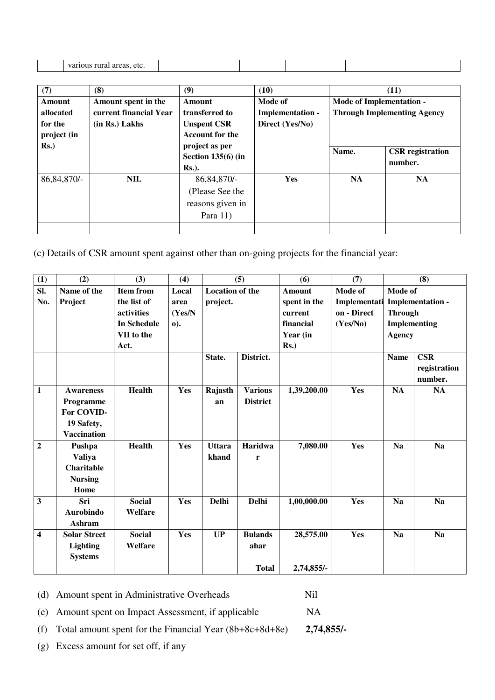| etc<br>rura.<br><b>TTO</b><br>algas.<br>, |  |  |  |
|-------------------------------------------|--|--|--|

| (7)           | (8)                    | (9)                    | (10)                    | (11)                            |                                    |  |
|---------------|------------------------|------------------------|-------------------------|---------------------------------|------------------------------------|--|
| Amount        | Amount spent in the    | Amount                 | Mode of                 | <b>Mode of Implementation -</b> |                                    |  |
| allocated     | current financial Year | transferred to         | <b>Implementation -</b> |                                 | <b>Through Implementing Agency</b> |  |
| for the       | $(in Rs.)$ Lakhs       | <b>Unspent CSR</b>     | Direct (Yes/No)         |                                 |                                    |  |
| project (in   |                        | <b>Account for the</b> |                         |                                 |                                    |  |
| $Rs.$ )       |                        | project as per         |                         | Name.                           | <b>CSR</b> registration            |  |
|               |                        | Section $135(6)$ (in   |                         |                                 | number.                            |  |
|               |                        | $Rs.$ ).               |                         |                                 |                                    |  |
| 86, 84, 870/- | NIL.                   | 86, 84, 870/-          | Yes                     | <b>NA</b>                       | <b>NA</b>                          |  |
|               |                        | (Please See the        |                         |                                 |                                    |  |
|               |                        | reasons given in       |                         |                                 |                                    |  |
|               |                        | Para $11)$             |                         |                                 |                                    |  |
|               |                        |                        |                         |                                 |                                    |  |

(c) Details of CSR amount spent against other than on-going projects for the financial year:

| (1)                     | (2)                                                                             | (3)                                                                                              | (4)                                     |                                    | (5)                               | (6)                                                                   | (7)                                                |                                            | (8)                                            |
|-------------------------|---------------------------------------------------------------------------------|--------------------------------------------------------------------------------------------------|-----------------------------------------|------------------------------------|-----------------------------------|-----------------------------------------------------------------------|----------------------------------------------------|--------------------------------------------|------------------------------------------------|
| SI.<br>No.              | Name of the<br>Project                                                          | <b>Item from</b><br>the list of<br><b>activities</b><br><b>In Schedule</b><br>VII to the<br>Act. | Local<br>area<br>(Yes/N)<br>$\bf{0}$ ). | <b>Location of the</b><br>project. |                                   | Amount<br>spent in the<br>current<br>financial<br>Year (in<br>$Rs.$ ) | Mode of<br>Implementati<br>on - Direct<br>(Yes/No) | Mode of<br><b>Through</b><br><b>Agency</b> | <b>Implementation -</b><br><b>Implementing</b> |
|                         |                                                                                 |                                                                                                  |                                         | State.                             | District.                         |                                                                       |                                                    | <b>Name</b>                                | CSR<br>registration<br>number.                 |
| $\mathbf{1}$            | <b>Awareness</b><br>Programme<br>For COVID-<br>19 Safety,<br><b>Vaccination</b> | <b>Health</b>                                                                                    | Yes                                     | Rajasth<br>an                      | <b>Various</b><br><b>District</b> | 1,39,200.00                                                           | Yes                                                | <b>NA</b>                                  | NA                                             |
| $\overline{2}$          | Pushpa<br><b>Valiya</b><br><b>Charitable</b><br><b>Nursing</b><br>Home          | <b>Health</b>                                                                                    | Yes                                     | <b>Uttara</b><br>khand             | <b>Haridwa</b><br>r               | 7,080.00                                                              | <b>Yes</b>                                         | <b>Na</b>                                  | <b>Na</b>                                      |
| $\overline{\mathbf{3}}$ | Sri<br><b>Aurobindo</b><br>Ashram                                               | <b>Social</b><br>Welfare                                                                         | Yes                                     | Delhi                              | Delhi                             | 1,00,000.00                                                           | Yes                                                | <b>Na</b>                                  | <b>Na</b>                                      |
| $\overline{\mathbf{4}}$ | <b>Solar Street</b><br><b>Lighting</b><br><b>Systems</b>                        | <b>Social</b><br>Welfare                                                                         | Yes                                     | UP                                 | <b>Bulands</b><br>ahar            | 28,575.00                                                             | <b>Yes</b>                                         | <b>Na</b>                                  | <b>Na</b>                                      |
|                         |                                                                                 |                                                                                                  |                                         |                                    | <b>Total</b>                      | 2,74,855/-                                                            |                                                    |                                            |                                                |

(d) Amount spent in Administrative Overheads Nil

(e) Amount spent on Impact Assessment, if applicable NA

(f) Total amount spent for the Financial Year (8b+8c+8d+8e) **2,74,855/-**

(g) Excess amount for set off, if any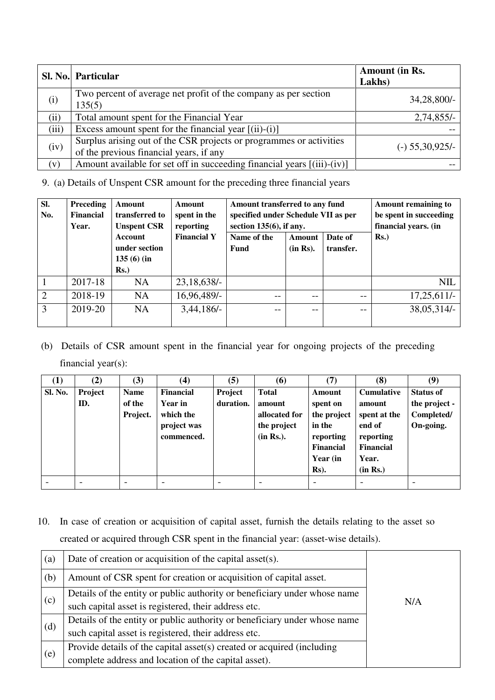|            | Sl. No. Particular                                                                                             | <b>Amount (in Rs.</b><br>Lakhs) |
|------------|----------------------------------------------------------------------------------------------------------------|---------------------------------|
| (i)        | Two percent of average net profit of the company as per section<br>135(5)                                      | 34,28,800/-                     |
| (ii)       | Total amount spent for the Financial Year                                                                      | $2,74,855/-$                    |
| (iii)      | Excess amount spent for the financial year $[(ii)-(i)]$                                                        |                                 |
| (iv)       | Surplus arising out of the CSR projects or programmes or activities<br>of the previous financial years, if any | $(-)$ 55,30,925/-               |
| $(\bf{V})$ | Amount available for set off in succeeding financial years [(iii)-(iv)]                                        |                                 |

9. (a) Details of Unspent CSR amount for the preceding three financial years

| SI.<br>No.     | Preceding<br>Financial<br>Year. | <b>Amount</b><br>transferred to<br><b>Unspent CSR</b> | <b>Amount</b><br>spent in the<br>reporting | Amount transferred to any fund<br>specified under Schedule VII as per<br>section $135(6)$ , if any. |                           | <b>Amount remaining to</b><br>be spent in succeeding<br>financial years. (in |                |  |
|----------------|---------------------------------|-------------------------------------------------------|--------------------------------------------|-----------------------------------------------------------------------------------------------------|---------------------------|------------------------------------------------------------------------------|----------------|--|
|                |                                 | Account<br>under section<br>$135(6)$ (in<br>$Rs.$ )   | <b>Financial Y</b>                         | Name of the<br><b>Fund</b>                                                                          | <b>Amount</b><br>(in Rs). | Date of<br>transfer.                                                         | $\mathbf{Rs.}$ |  |
|                | 2017-18                         | <b>NA</b>                                             | $23,18,638/-$                              |                                                                                                     |                           |                                                                              | <b>NIL</b>     |  |
| $\overline{2}$ | 2018-19                         | <b>NA</b>                                             | 16,96,489/-                                | $- -$                                                                                               | $ -$                      | $- -$                                                                        | $17,25,611/-$  |  |
| 3              | 2019-20                         | <b>NA</b>                                             | $3,44,186/-$                               | $- -$                                                                                               | $ -$                      | $- -$                                                                        | 38,05,314/-    |  |

(b) Details of CSR amount spent in the financial year for ongoing projects of the preceding financial year(s):

| $\bf{(1)}$     | (2)            | (3)                               | $\left( 4\right)$                                                            | (5)                  | (6)                                                                 | (7)                                                                                                 | (8)                                                                                                  | (9)                                                          |
|----------------|----------------|-----------------------------------|------------------------------------------------------------------------------|----------------------|---------------------------------------------------------------------|-----------------------------------------------------------------------------------------------------|------------------------------------------------------------------------------------------------------|--------------------------------------------------------------|
| <b>Sl. No.</b> | Project<br>ID. | <b>Name</b><br>of the<br>Project. | <b>Financial</b><br><b>Year in</b><br>which the<br>project was<br>commenced. | Project<br>duration. | <b>Total</b><br>amount<br>allocated for<br>the project<br>(in Rs.). | Amount<br>spent on<br>the project<br>in the<br>reporting<br><b>Financial</b><br>Year (in<br>$Rs$ ). | <b>Cumulative</b><br>amount<br>spent at the<br>end of<br>reporting<br>Financial<br>Year.<br>(in Rs.) | <b>Status of</b><br>the project -<br>Completed/<br>On-going. |
|                |                |                                   |                                                                              |                      |                                                                     |                                                                                                     |                                                                                                      |                                                              |

10. In case of creation or acquisition of capital asset, furnish the details relating to the asset so created or acquired through CSR spent in the financial year: (asset-wise details).

| $\left( a\right)$ | Date of creation or acquisition of the capital asset(s).                  |     |
|-------------------|---------------------------------------------------------------------------|-----|
| (b)               | Amount of CSR spent for creation or acquisition of capital asset.         |     |
|                   | Details of the entity or public authority or beneficiary under whose name |     |
| (c)               | such capital asset is registered, their address etc.                      | N/A |
| (d)               | Details of the entity or public authority or beneficiary under whose name |     |
|                   | such capital asset is registered, their address etc.                      |     |
| (e)               | Provide details of the capital asset(s) created or acquired (including    |     |
|                   | complete address and location of the capital asset).                      |     |